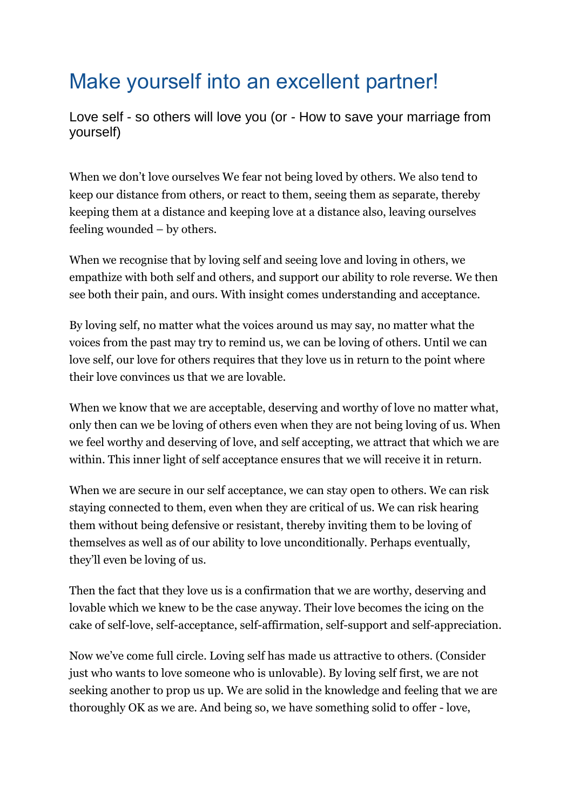## Make yourself into an excellent partner!

Love self - so others will love you (or - How to save your marriage from yourself)

When we don't love ourselves We fear not being loved by others. We also tend to keep our distance from others, or react to them, seeing them as separate, thereby keeping them at a distance and keeping love at a distance also, leaving ourselves feeling wounded – by others.

When we recognise that by loving self and seeing love and loving in others, we empathize with both self and others, and support our ability to role reverse. We then see both their pain, and ours. With insight comes understanding and acceptance.

By loving self, no matter what the voices around us may say, no matter what the voices from the past may try to remind us, we can be loving of others. Until we can love self, our love for others requires that they love us in return to the point where their love convinces us that we are lovable.

When we know that we are acceptable, deserving and worthy of love no matter what, only then can we be loving of others even when they are not being loving of us. When we feel worthy and deserving of love, and self accepting, we attract that which we are within. This inner light of self acceptance ensures that we will receive it in return.

When we are secure in our self acceptance, we can stay open to others. We can risk staying connected to them, even when they are critical of us. We can risk hearing them without being defensive or resistant, thereby inviting them to be loving of themselves as well as of our ability to love unconditionally. Perhaps eventually, they'll even be loving of us.

Then the fact that they love us is a confirmation that we are worthy, deserving and lovable which we knew to be the case anyway. Their love becomes the icing on the cake of self-love, self-acceptance, self-affirmation, self-support and self-appreciation.

Now we've come full circle. Loving self has made us attractive to others. (Consider just who wants to love someone who is unlovable). By loving self first, we are not seeking another to prop us up. We are solid in the knowledge and feeling that we are thoroughly OK as we are. And being so, we have something solid to offer - love,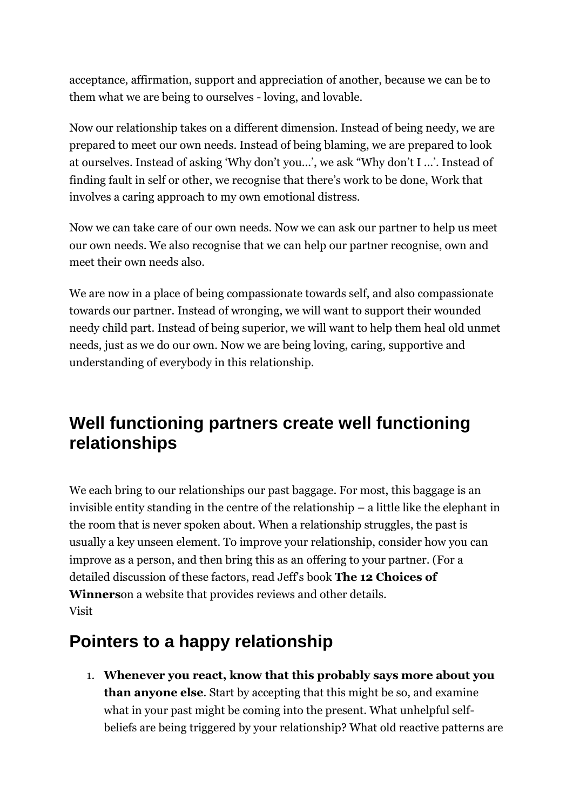acceptance, affirmation, support and appreciation of another, because we can be to them what we are being to ourselves - loving, and lovable.

Now our relationship takes on a different dimension. Instead of being needy, we are prepared to meet our own needs. Instead of being blaming, we are prepared to look at ourselves. Instead of asking 'Why don't you...', we ask "Why don't I ...'. Instead of finding fault in self or other, we recognise that there's work to be done, Work that involves a caring approach to my own emotional distress.

Now we can take care of our own needs. Now we can ask our partner to help us meet our own needs. We also recognise that we can help our partner recognise, own and meet their own needs also.

We are now in a place of being compassionate towards self, and also compassionate towards our partner. Instead of wronging, we will want to support their wounded needy child part. Instead of being superior, we will want to help them heal old unmet needs, just as we do our own. Now we are being loving, caring, supportive and understanding of everybody in this relationship.

## **Well functioning partners create well functioning relationships**

We each bring to our relationships our past baggage. For most, this baggage is an invisible entity standing in the centre of the relationship – a little like the elephant in the room that is never spoken about. When a relationship struggles, the past is usually a key unseen element. To improve your relationship, consider how you can improve as a person, and then bring this as an offering to your partner. (For a detailed discussion of these factors, read Jeff's book **The 12 Choices of Winners**on a website that provides reviews and other details.  $V$ isitht $\frac{d}{dx}$ 

## **Pointers to a happy relationship**

1. **Whenever you react, know that this probably says more about you than anyone else**. Start by accepting that this might be so, and examine what in your past might be coming into the present. What unhelpful selfbeliefs are being triggered by your relationship? What old reactive patterns are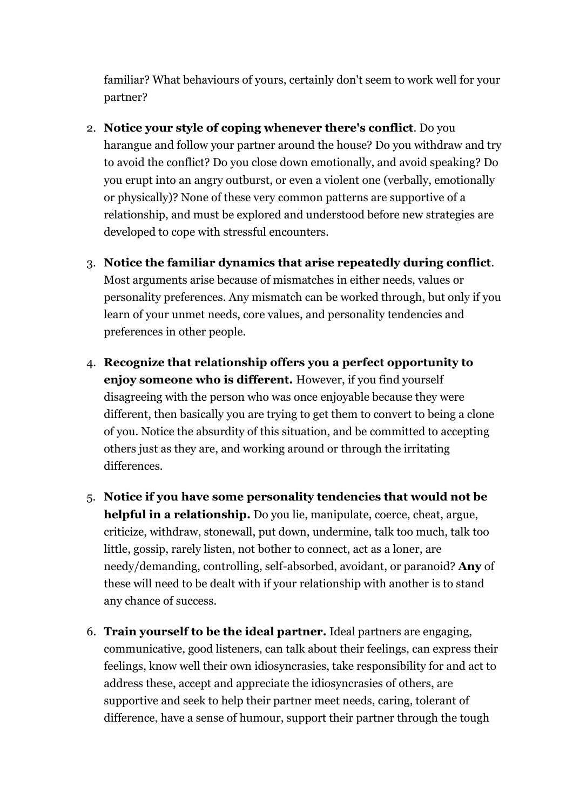familiar? What behaviours of yours, certainly don't seem to work well for your partner?

- 2. **Notice your style of coping whenever there's conflict**. Do you harangue and follow your partner around the house? Do you withdraw and try to avoid the conflict? Do you close down emotionally, and avoid speaking? Do you erupt into an angry outburst, or even a violent one (verbally, emotionally or physically)? None of these very common patterns are supportive of a relationship, and must be explored and understood before new strategies are developed to cope with stressful encounters.
- 3. **Notice the familiar dynamics that arise repeatedly during conflict**. Most arguments arise because of mismatches in either needs, values or personality preferences. Any mismatch can be worked through, but only if you learn of your unmet needs, core values, and personality tendencies and preferences in other people.
- 4. **Recognize that relationship offers you a perfect opportunity to enjoy someone who is different.** However, if you find yourself disagreeing with the person who was once enjoyable because they were different, then basically you are trying to get them to convert to being a clone of you. Notice the absurdity of this situation, and be committed to accepting others just as they are, and working around or through the irritating differences.
- 5. **Notice if you have some personality tendencies that would not be helpful in a relationship.** Do you lie, manipulate, coerce, cheat, argue, criticize, withdraw, stonewall, put down, undermine, talk too much, talk too little, gossip, rarely listen, not bother to connect, act as a loner, are needy/demanding, controlling, self-absorbed, avoidant, or paranoid? **Any** of these will need to be dealt with if your relationship with another is to stand any chance of success.
- 6. **Train yourself to be the ideal partner.** Ideal partners are engaging, communicative, good listeners, can talk about their feelings, can express their feelings, know well their own idiosyncrasies, take responsibility for and act to address these, accept and appreciate the idiosyncrasies of others, are supportive and seek to help their partner meet needs, caring, tolerant of difference, have a sense of humour, support their partner through the tough